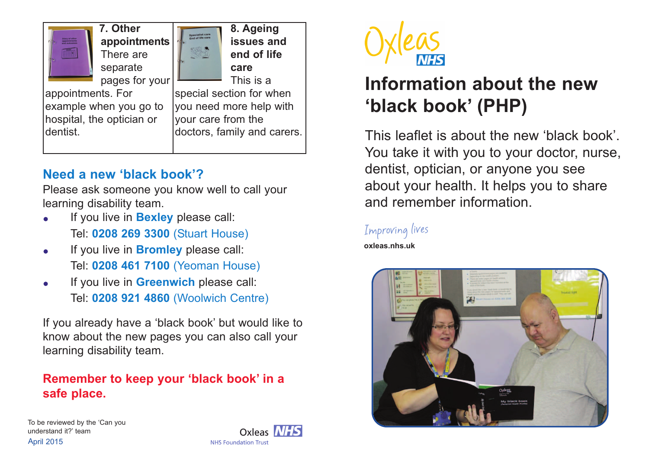

## **Need a new 'black book'?**

Please ask someone you know well to call your learning disability team.

- If you live in **Bexley** please call: Tel: **0208 269 3300** (Stuart House)
- If you live in **Bromley** please call: Tel: **0208 461 7100** (Yeoman House)
- If you live in **Greenwich** please call: Tel: **0208 921 4860** (Woolwich Centre)

If you already have a 'black book' but would like to know about the new pages you can also call your learning disability team.

## **Remember to keep your 'black book' in a safe place.**

April 2015 To be reviewed by the 'Can you understand it?' team





# **Information about the new 'black book' (PHP)**

This leaflet is about the new 'black book'. You take it with you to your doctor, nurse, dentist, optician, or anyone you see about your health. It helps you to share and remember information.

### Improving lives

**oxleas.nhs.uk**